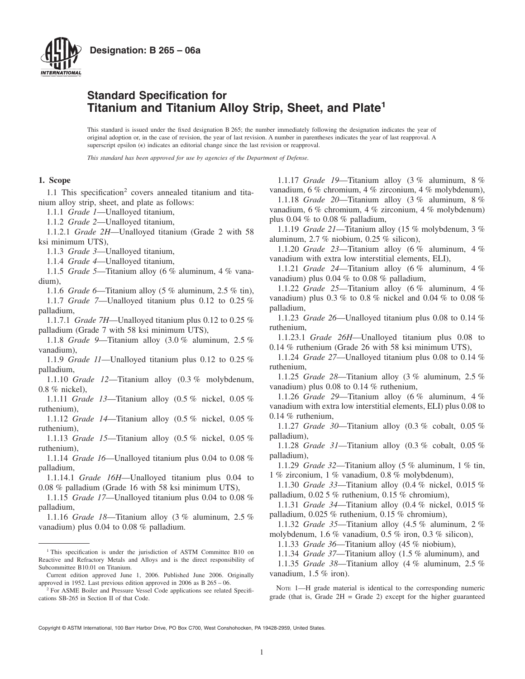

# **Standard Specification for Titanium and Titanium Alloy Strip, Sheet, and Plate<sup>1</sup>**

This standard is issued under the fixed designation B 265; the number immediately following the designation indicates the year of original adoption or, in the case of revision, the year of last revision. A number in parentheses indicates the year of last reapproval. A superscript epsilon  $(\epsilon)$  indicates an editorial change since the last revision or reapproval.

*This standard has been approved for use by agencies of the Department of Defense.*

#### **1. Scope**

1.1 This specification<sup>2</sup> covers annealed titanium and titanium alloy strip, sheet, and plate as follows:

1.1.1 *Grade 1*—Unalloyed titanium,

1.1.2 *Grade 2*—Unalloyed titanium,

1.1.2.1 *Grade 2H*—Unalloyed titanium (Grade 2 with 58 ksi minimum UTS),

1.1.3 *Grade 3*—Unalloyed titanium,

1.1.4 *Grade 4*—Unalloyed titanium,

1.1.5 *Grade 5*—Titanium alloy (6 % aluminum, 4 % vanadium),

1.1.6 *Grade 6*—Titanium alloy (5 % aluminum, 2.5 % tin), 1.1.7 *Grade 7*—Unalloyed titanium plus 0.12 to 0.25 %

palladium,

1.1.7.1 *Grade 7H*—Unalloyed titanium plus 0.12 to 0.25 % palladium (Grade 7 with 58 ksi minimum UTS),

1.1.8 *Grade 9*—Titanium alloy (3.0 % aluminum, 2.5 % vanadium),

1.1.9 *Grade 11*—Unalloyed titanium plus 0.12 to 0.25 % palladium,

1.1.10 *Grade 12*—Titanium alloy (0.3 % molybdenum, 0.8 % nickel),

1.1.11 *Grade 13*—Titanium alloy (0.5 % nickel, 0.05 % ruthenium),

1.1.12 *Grade 14*—Titanium alloy (0.5 % nickel, 0.05 % ruthenium),

1.1.13 *Grade 15*—Titanium alloy (0.5 % nickel, 0.05 % ruthenium),

1.1.14 *Grade 16*—Unalloyed titanium plus 0.04 to 0.08 % palladium,

1.1.14.1 *Grade 16H*—Unalloyed titanium plus 0.04 to 0.08 % palladium (Grade 16 with 58 ksi minimum UTS),

1.1.15 *Grade 17*—Unalloyed titanium plus 0.04 to 0.08 % palladium,

1.1.16 *Grade 18*—Titanium alloy (3 % aluminum, 2.5 % vanadium) plus 0.04 to 0.08 % palladium.

<span id="page-0-0"></span>1.1.17 *Grade 19*—Titanium alloy (3 % aluminum, 8 % vanadium, 6 % chromium, 4 % zirconium, 4 % molybdenum),

1.1.18 *Grade 20*—Titanium alloy (3 % aluminum, 8 % vanadium, 6 % chromium, 4 % zirconium, 4 % molybdenum) plus  $0.04\%$  to  $0.08\%$  palladium,

1.1.19 *Grade 21*—Titanium alloy (15 % molybdenum, 3 % aluminum, 2.7 % niobium, 0.25 % silicon),

1.1.20 *Grade 23*—Titanium alloy (6 % aluminum, 4 % vanadium with extra low interstitial elements, ELI),

1.1.21 *Grade 24*—Titanium alloy (6 % aluminum, 4 % vanadium) plus 0.04 % to 0.08 % palladium,

1.1.22 *Grade 25*—Titanium alloy (6 % aluminum, 4 % vanadium) plus 0.3 % to 0.8 % nickel and 0.04 % to 0.08 % palladium,

1.1.23 *Grade 26*—Unalloyed titanium plus 0.08 to 0.14 % ruthenium,

1.1.23.1 *Grade 26H*—Unalloyed titanium plus 0.08 to 0.14 % ruthenium (Grade 26 with 58 ksi minimum UTS),

1.1.24 *Grade 27*—Unalloyed titanium plus 0.08 to 0.14 % ruthenium,

1.1.25 *Grade 28*—Titanium alloy (3 % aluminum, 2.5 % vanadium) plus 0.08 to 0.14 % ruthenium,

1.1.26 *Grade 29*—Titanium alloy (6 % aluminum, 4 % vanadium with extra low interstitial elements, ELI) plus 0.08 to 0.14 % ruthenium,

1.1.27 *Grade 30*—Titanium alloy (0.3 % cobalt, 0.05 % palladium),

1.1.28 *Grade 31*—Titanium alloy (0.3 % cobalt, 0.05 % palladium),

1.1.29 *Grade 32*—Titanium alloy (5 % aluminum, 1 % tin, 1 % zirconium, 1 % vanadium, 0.8 % molybdenum),

1.1.30 *Grade 33*—Titanium alloy (0.4 % nickel, 0.015 % palladium, 0.02 5 % ruthenium, 0.15 % chromium),

1.1.31 *Grade 34*—Titanium alloy (0.4 % nickel, 0.015 % palladium, 0.025 % ruthenium, 0.15 % chromium),

1.1.32 *Grade 35*—Titanium alloy (4.5 % aluminum, 2 % molybdenum, 1.6 % vanadium, 0.5 % iron, 0.3 % silicon),

1.1.33 *Grade 36*—Titanium alloy (45 % niobium),

1.1.34 *Grade 37*—Titanium alloy (1.5 % aluminum), and

1.1.35 *Grade 38*—Titanium alloy (4 % aluminum, 2.5 % vanadium, 1.5 % iron).

NOTE 1—H grade material is identical to the corresponding numeric grade (that is, Grade  $2H =$  Grade 2) except for the higher guaranteed

<sup>&</sup>lt;sup>1</sup> This specification is under the jurisdiction of ASTM Committee B10 on Reactive and Refractory Metals and Alloys and is the direct responsibility of Subcommittee B10.01 on Titanium.

Current edition approved June 1, 2006. Published June 2006. Originally approved in 1952. Last previous edition approved in 2006 as B 265 – 06.

<sup>&</sup>lt;sup>2</sup> For ASME Boiler and Pressure Vessel Code applications see related Specifications SB-265 in Section II of that Code.

Copyright © ASTM International, 100 Barr Harbor Drive, PO Box C700, West Conshohocken, PA 19428-2959, United States.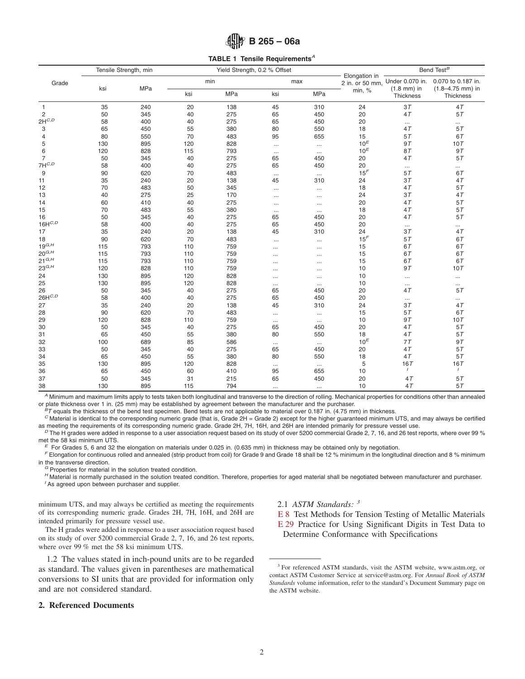<span id="page-1-0"></span>

| $\lim_{x\to 0}$ B 265 - 06a |  |  |
|-----------------------------|--|--|
|-----------------------------|--|--|

**TABLE 1 Tensile Requirements***<sup>A</sup>*

|                | Tensile Strength, min |     |     |     | Yield Strength, 0.2 % Offset |            | Elongation in   |                | Bend Test <sup><math>B</math></sup>                                        |
|----------------|-----------------------|-----|-----|-----|------------------------------|------------|-----------------|----------------|----------------------------------------------------------------------------|
| Grade          | ksi                   | MPa |     | min |                              | max        | min, %          | $(1.8$ mm) in  | 2 in. or 50 mm, Under 0.070 in. 0.070 to 0.187 in.<br>$(1.8 - 4.75$ mm) in |
|                |                       |     | ksi | MPa | ksi                          | <b>MPa</b> |                 | Thickness      | Thickness                                                                  |
| $\mathbf{1}$   | 35                    | 240 | 20  | 138 | 45                           | 310        | 24              | 3T             | 4T                                                                         |
| $\overline{c}$ | 50                    | 345 | 40  | 275 | 65                           | 450        | 20              | 4T             | 5T                                                                         |
| $2H^{C,D}$     | 58                    | 400 | 40  | 275 | 65                           | 450        | 20              | $\cdots$       | $\cdots$                                                                   |
| 3              | 65                    | 450 | 55  | 380 | 80                           | 550        | 18              | 4T             | 5T                                                                         |
| 4              | 80                    | 550 | 70  | 483 | 95                           | 655        | 15              | 5T             | 6T                                                                         |
| 5              | 130                   | 895 | 120 | 828 | $\ldots$                     | $\cdots$   | 10 <sup>E</sup> | 9T             | 10T                                                                        |
| 6              | 120                   | 828 | 115 | 793 | $\ldots$                     | $\cdots$   | $10^E$          | 8T             | 9T                                                                         |
| 7              | 50                    | 345 | 40  | 275 | 65                           | 450        | 20              | 4T             | 5T                                                                         |
| $7H^{C,D}$     | 58                    | 400 | 40  | 275 | 65                           | 450        | 20              | $\cdots$       | $\cdots$                                                                   |
| 9              | 90                    | 620 | 70  | 483 | $\ldots$                     | $\ldots$   | 15 <sup>F</sup> | 5T             | 6T                                                                         |
| 11             | 35                    | 240 | 20  | 138 | 45                           | 310        | 24              | 3T             | 4T                                                                         |
| 12             | 70                    | 483 | 50  | 345 | $\cdots$                     | $\cdots$   | 18              | 4T             | 5T                                                                         |
| 13             | 40                    | 275 | 25  | 170 | $\cdots$                     | $\cdots$   | 24              | 3T             | 4T                                                                         |
| 14             | 60                    | 410 | 40  | 275 | $\cdots$                     | $\cdots$   | 20              | 4T             | 5T                                                                         |
| 15             | 70                    | 483 | 55  | 380 | $\cdots$                     | $\cdots$   | 18              | 4T             | $5\,T$                                                                     |
| 16             | 50                    | 345 | 40  | 275 | 65                           | 450        | 20              | 4T             | 5T                                                                         |
| $16H^{C,D}$    | 58                    | 400 | 40  | 275 | 65                           | 450        | 20              | $\cdots$       | $\cdots$                                                                   |
| 17             | 35                    | 240 | 20  | 138 | 45                           | 310        | 24              | 3T             | 4 <sub>T</sub>                                                             |
| 18             | 90                    | 620 | 70  | 483 | $\cdots$                     | $\cdots$   | 15 <sup>F</sup> | 5T             | 6T                                                                         |
| $19^{G,H}$     | 115                   | 793 | 110 | 759 | $\cdots$                     | $\cdots$   | 15              | 6T             | 6T                                                                         |
| $20^{G,H}$     | 115                   | 793 | 110 | 759 | .                            | $\cdots$   | 15              | 6T             | 6T                                                                         |
| $21^{G,H}$     | 115                   | 793 | 110 | 759 |                              | $\cdots$   | 15              | 6T             | 67                                                                         |
| $23^{G,H}$     | 120                   | 828 | 110 | 759 | $\cdots$                     | $\cdots$   | 10              | 9T             | 10T                                                                        |
| 24             | 130                   | 895 | 120 | 828 |                              | $\cdots$   | 10              | $\cdots$       |                                                                            |
| 25             | 130                   | 895 | 120 | 828 | $\ldots$                     | $\cdots$   | 10              | $\cdots$       | $\cdots$                                                                   |
| 26             | 50                    | 345 | 40  | 275 | 65                           | 450        | 20              | 4 <sub>T</sub> | 5T                                                                         |
| $26H^{C,D}$    | 58                    | 400 | 40  | 275 | 65                           | 450        | 20              | $\cdots$       | $\cdots$                                                                   |
| 27             | 35                    | 240 | 20  | 138 | 45                           | 310        | 24              | 3T             | 4T                                                                         |
| 28             | 90                    | 620 | 70  | 483 | $\cdots$                     | $\ldots$   | 15              | 5T             | 6T                                                                         |
| 29             | 120                   | 828 | 110 | 759 | $\cdots$                     | $\ldots$   | 10              | 9T             | 10T                                                                        |
| 30             | 50                    | 345 | 40  | 275 | 65                           | 450        | 20              | 4T             | 5T                                                                         |
| 31             | 65                    | 450 | 55  | 380 | 80                           | 550        | 18              | 4T             | 5T                                                                         |
| 32             | 100                   | 689 | 85  | 586 | $\cdots$                     | $\ldots$   | 10 <sup>E</sup> | 7T             | 9T                                                                         |
| 33             | 50                    | 345 | 40  | 275 | 65                           | 450        | 20              | 4T             | 5T                                                                         |
| 34             | 65                    | 450 | 55  | 380 | 80                           | 550        | 18              | 4T             | 5T                                                                         |
| 35             | 130                   | 895 | 120 | 828 | $\cdots$                     | $\ldots$   | 5               | 16T            | 16T                                                                        |
| 36             | 65                    | 450 | 60  | 410 | 95                           | 655        | 10              | $\prime$       | $\prime$                                                                   |
| 37             | 50                    | 345 | 31  | 215 | 65                           | 450        | 20              | 4T             | 5T                                                                         |
| 38             | 130                   | 895 | 115 | 794 | $\cdots$                     | $\cdots$   | 10              | 4T             | 5T                                                                         |

*A* Minimum and maximum limits apply to tests taken both longitudinal and transverse to the direction of rolling. Mechanical properties for conditions other than annealed or plate thickness over 1 in. (25 mm) may be establ

 ${}^{B}T$  equals the thickness of the bend test specimen. Bend tests are not applicable to material over 0.187 in. (4.75 mm) in thickness.<br>  ${}^{C}$  Material is identical to the corresponding numeric grade (that is, Grade 2H

 $^D$  The H grades were added in response to a user association request based on its study of over 5200 commercial Grade 2, 7, 16, and 26 test reports, where over 99 %

met the 58 ksi minimum UTS.<br>
F For Grades 5, 6 and 32 the elongation on materials under 0.025 in. (0.635 mm) in thickness may be obtained only by negotiation.<br>
F Elongation for continuous rolled and annealed (strip product

<sup>G</sup> Properties for material in the solution treated condition.<br><sup>H</sup> Material is normally purchased in the solution treated condition. Therefore, properties for aged material shall be negotiated between manufacturer and purc

minimum UTS, and may always be certified as meeting the requirements of its corresponding numeric grade. Grades 2H, 7H, 16H, and 26H are intended primarily for pressure vessel use.

The H grades were added in response to a user association request based on its study of over 5200 commercial Grade 2, 7, 16, and 26 test reports, where over 99 % met the 58 ksi minimum UTS.

1.2 The values stated in inch-pound units are to be regarded as standard. The values given in parentheses are mathematical conversions to SI units that are provided for information only and are not considered standard.

# **2. Referenced Documents**

2.1 *ASTM Standards: <sup>3</sup>*

<span id="page-1-2"></span><span id="page-1-1"></span>[E 8](#page-4-0) Test Methods for Tension Testing of Metallic Materials [E 29](#page-5-0) Practice for Using Significant Digits in Test Data to

Determine Conformance with Specifications

<sup>&</sup>lt;sup>3</sup> For referenced ASTM standards, visit the ASTM website, www.astm.org, or contact ASTM Customer Service at service@astm.org. For *Annual Book of ASTM Standards* volume information, refer to the standard's Document Summary page on the ASTM website.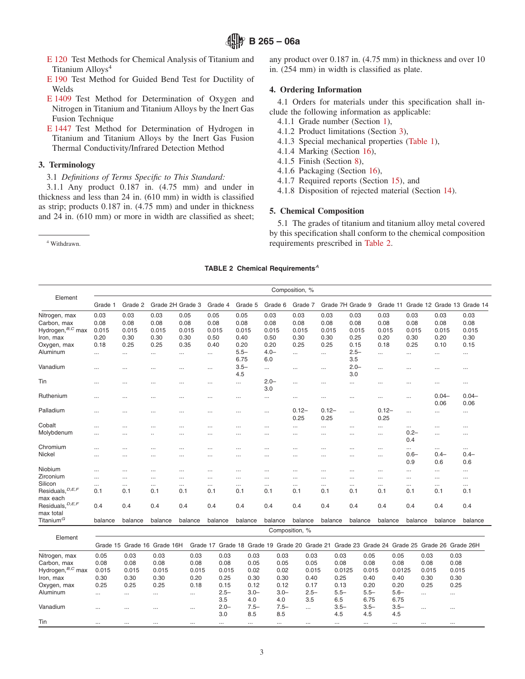- [E 120](#page-5-1) Test Methods for Chemical Analysis of Titanium and Titanium Alloys<sup>4</sup>
- [E 190](#page-8-0) Test Method for Guided Bend Test for Ductility of Welds
- [E 1409](#page-5-2) Test Method for Determination of Oxygen and Nitrogen in Titanium and Titanium Alloys by the Inert Gas Fusion Technique
- [E 1447](#page-5-3) Test Method for Determination of Hydrogen in Titanium and Titanium Alloys by the Inert Gas Fusion Thermal Conductivity/Infrared Detection Method

## **3. Terminology**

3.1 *Definitions of Terms Specific to This Standard:*

3.1.1 Any product 0.187 in. (4.75 mm) and under in thickness and less than 24 in. (610 mm) in width is classified as strip; products 0.187 in. (4.75 mm) and under in thickness and 24 in. (610 mm) or more in width are classified as sheet;

<sup>4</sup> Withdrawn.

<span id="page-2-2"></span>any product over 0.187 in. (4.75 mm) in thickness and over 10 in. (254 mm) in width is classified as plate.

#### **4. Ordering Information**

4.1 Orders for materials under this specification shall include the following information as applicable:

- <span id="page-2-5"></span><span id="page-2-4"></span><span id="page-2-3"></span>4.1.1 Grade number (Section [1\)](#page-0-0),
- 4.1.2 Product limitations (Section [3\)](#page-2-0),
- 4.1.3 Special mechanical properties [\(Table 1\)](#page-1-0),
- <span id="page-2-0"></span>4.1.4 Marking (Section 16),
- 4.1.5 Finish (Section 8),
- 4.1.6 Packaging (Section 16),
- 4.1.7 Required reports (Section 15), and
- 4.1.8 Disposition of rejected material (Section 14).

# **5. Chemical Composition**

<span id="page-2-1"></span>5.1 The grades of titanium and titanium alloy metal covered by this specification shall conform to the chemical composition requirements prescribed in [Table 2.](#page-2-1)

# **TABLE 2 Chemical Requirements***<sup>A</sup>*

|                                            |                      |                      |                      |                  |                      |                |                      | Composition, %       |                      |                      |                      |                      |                  |                                     |
|--------------------------------------------|----------------------|----------------------|----------------------|------------------|----------------------|----------------|----------------------|----------------------|----------------------|----------------------|----------------------|----------------------|------------------|-------------------------------------|
| Element                                    | Grade 1              | Grade 2              |                      | Grade 2H Grade 3 | Grade 4              | Grade 5        | Grade 6              | Grade 7              |                      | Grade 7H Grade 9     |                      |                      |                  | Grade 11 Grade 12 Grade 13 Grade 14 |
| Nitrogen, max                              | 0.03                 | 0.03                 | 0.03                 | 0.05             | 0.05                 | 0.05           | 0.03                 | 0.03                 | 0.03                 | 0.03                 | 0.03                 | 0.03                 | 0.03             | 0.03                                |
| Carbon, max                                | 0.08                 | 0.08                 | 0.08                 | 0.08             | 0.08                 | 0.08           | 0.08                 | 0.08                 | 0.08                 | 0.08                 | 0.08                 | 0.08                 | 0.08             | 0.08                                |
| Hydrogen, <sup>B,C</sup> max               | 0.015                | 0.015                | 0.015                | 0.015            | 0.015                | 0.015          | 0.015                | 0.015                | 0.015                | 0.015                | 0.015                | 0.015                | 0.015            | 0.015                               |
| Iron, max                                  | 0.20                 | 0.30                 | 0.30                 | 0.30             | 0.50                 | 0.40           | 0.50                 | 0.30                 | 0.30                 | 0.25                 | 0.20                 | 0.30                 | 0.20             | 0.30                                |
| Oxygen, max                                | 0.18                 | 0.25                 | 0.25                 | 0.35             | 0.40                 | 0.20           | 0.20                 | 0.25                 | 0.25                 | 0.15                 | 0.18                 | 0.25                 | 0.10             | 0.15                                |
| Aluminum                                   | $\cdots$             | $\cdots$             | $\cdots$             | $\cdots$         | $\cdots$             | $5.5-$<br>6.75 | $4.0 -$<br>6.0       | $\cdots$             | $\cdots$             | $2.5 -$<br>3.5       |                      | $\cdots$             | $\cdots$         | $\cdots$                            |
| Vanadium                                   | $\cdots$             | $\cdots$             | $\cdots$             | $\cdots$         | $\cdots$             | $3.5 -$<br>4.5 | $\cdots$             | $\cdots$             | $\cdots$             | $2.0 -$<br>3.0       | $\cdots$             | $\cdots$             | $\cdots$         | $\cdots$                            |
| Tin                                        | $\cdots$             | $\cdots$             |                      | .                | $\cdots$             |                | $2.0 -$<br>3.0       | $\cdots$             | $\cdots$             | $\cdots$             |                      | $\cdots$             | $\cdots$         | $\cdots$                            |
| Ruthenium                                  | $\cdots$             |                      |                      |                  | $\cdots$             |                | $\cdots$             | $\cdots$             | $\cdots$             | $\cdots$             |                      | $\cdots$             | $0.04 -$<br>0.06 | $0.04 -$<br>0.06                    |
| Palladium                                  | $\cdots$             | $\cdots$             | $\cdots$             |                  | $\cdots$             | $\cdots$       | $\cdots$             | $0.12 -$<br>0.25     | $0.12 -$<br>0.25     |                      | $0.12 -$<br>0.25     | $\cdots$             | $\cdots$         | $\cdots$                            |
| Cobalt                                     | $\cdots$             | $\cdots$             | $\cdots$             | .                |                      |                |                      | $\cdots$             | $\cdots$             | $\cdots$             |                      | $\cdots$             |                  | $\cdots$                            |
| Molybdenum                                 | $\cdots$             | $\cdots$             |                      |                  | $\cdots$             |                | $\cdots$             | $\cdots$             | $\cdots$             | $\cdots$             | $\cdots$             | $0.2 -$<br>0.4       | $\cdots$         | $\cdots$                            |
| Chromium                                   | $\cdots$             | $\cdots$             | $\cdots$             |                  | $\cdots$             | $\cdots$       | $\cdots$             | $\cdots$             | $\cdots$             | $\cdots$             |                      | $\cdots$             | $\cdots$         | $\cdots$                            |
| Nickel                                     | $\cdots$             | $\cdots$             | $\cdots$             | $\cdots$         | $\cdots$             | $\cdots$       | $\cdots$             | $\cdots$             | $\cdots$             | $\cdots$             | $\cdots$             | $0.6 -$<br>0.9       | $0.4 -$<br>0.6   | $0.4 -$<br>0.6                      |
| Niobium                                    | $\cdots$             | $\cdots$             | $\cdots$             | $\cdots$         | $\cdots$             |                | $\cdots$             | $\cdots$             | $\cdots$             | $\cdots$             | $\cdots$             | $\cdots$             | $\cdots$         | $\cdots$                            |
| Zirconium<br>Silicon                       | $\cdots$<br>$\cdots$ | $\cdots$<br>$\cdots$ | $\cdots$<br>$\cdots$ | <br>$\cdots$     | $\cdots$<br>$\cdots$ | <br>$\cdots$   | $\cdots$<br>$\cdots$ | $\cdots$<br>$\cdots$ | $\cdots$<br>$\cdots$ | $\cdots$<br>$\cdots$ | $\cdots$<br>$\cdots$ | $\cdots$<br>$\cdots$ | <br>$\cdots$     | $\cdots$<br>$\cdots$                |
| Residuals, $D,E,F$<br>max each             | 0.1                  | 0.1                  | 0.1                  | 0.1              | 0.1                  | 0.1            | 0.1                  | 0.1                  | 0.1                  | 0.1                  | 0.1                  | 0.1                  | 0.1              | 0.1                                 |
| Residuals, <sup>D, E, F</sup><br>max total | 0.4                  | 0.4                  | 0.4                  | 0.4              | 0.4                  | 0.4            | 0.4                  | 0.4                  | 0.4                  | 0.4                  | 0.4                  | 0.4                  | 0.4              | 0.4                                 |
| Titanium <sup>G</sup>                      | balance              | balance              | balance              | balance          | balance              | balance        | balance              | balance              | balance              | balance              | balance              | balance              | balance          | balance                             |
|                                            |                      |                      |                      |                  |                      |                |                      | Composition, %       |                      |                      |                      |                      |                  |                                     |

| Element           |          |          |                             |          |          |          |         |          |          |          |          |          |                                                                                            |
|-------------------|----------|----------|-----------------------------|----------|----------|----------|---------|----------|----------|----------|----------|----------|--------------------------------------------------------------------------------------------|
|                   |          |          | Grade 15 Grade 16 Grade 16H |          |          |          |         |          |          |          |          |          | Grade 17 Grade 18 Grade 19 Grade 20 Grade 21 Grade 23 Grade 24 Grade 25 Grade 26 Grade 26H |
| Nitrogen, max     | 0.05     | 0.03     | 0.03                        | 0.03     | 0.03     | 0.03     | 0.03    | 0.03     | 0.03     | 0.05     | 0.05     | 0.03     | 0.03                                                                                       |
| Carbon, max       | 0.08     | 0.08     | 0.08                        | 0.08     | 0.08     | 0.05     | 0.05    | 0.05     | 0.08     | 0.08     | 0.08     | 0.08     | 0.08                                                                                       |
| Hydrogen, B,C max | 0.015    | 0.015    | 0.015                       | 0.015    | 0.015    | 0.02     | 0.02    | 0.015    | 0.0125   | 0.015    | 0.0125   | 0.015    | 0.015                                                                                      |
| Iron, max         | 0.30     | 0.30     | 0.30                        | 0.20     | 0.25     | 0.30     | 0.30    | 0.40     | 0.25     | 0.40     | 0.40     | 0.30     | 0.30                                                                                       |
| Oxygen, max       | 0.25     | 0.25     | 0.25                        | 0.18     | 0.15     | 0.12     | 0.12    | 0.17     | 0.13     | 0.20     | 0.20     | 0.25     | 0.25                                                                                       |
| <b>Aluminum</b>   | $\cdots$ | $\cdots$ | $\cdots$                    | $\cdots$ | $2.5 -$  | $3.0 -$  | $3.0 -$ | $2.5 -$  | $5.5-$   | $5.5-$   | $5.6 -$  | $\cdots$ | $\cdots$                                                                                   |
|                   |          |          |                             |          | 3.5      | 4.0      | 4.0     | 3.5      | 6.5      | 6.75     | 6.75     |          |                                                                                            |
| Vanadium          | $\cdots$ | $\cdots$ | $\cdots$                    | $\cdots$ | $2.0 -$  | $7.5 -$  | $7.5-$  | $\cdots$ | $3.5 -$  | $3.5 -$  | $3.5 -$  | $\cdots$ | $\cdots$                                                                                   |
|                   |          |          |                             |          | 3.0      | 8.5      | 8.5     |          | 4.5      | 4.5      | 4.5      |          |                                                                                            |
| Tin               | $\cdots$ | $\cdots$ | $\cdots$                    | $\cdots$ | $\cdots$ | $\cdots$ |         |          | $\cdots$ | $\cdots$ | $\cdots$ | $\cdots$ | $\cdots$                                                                                   |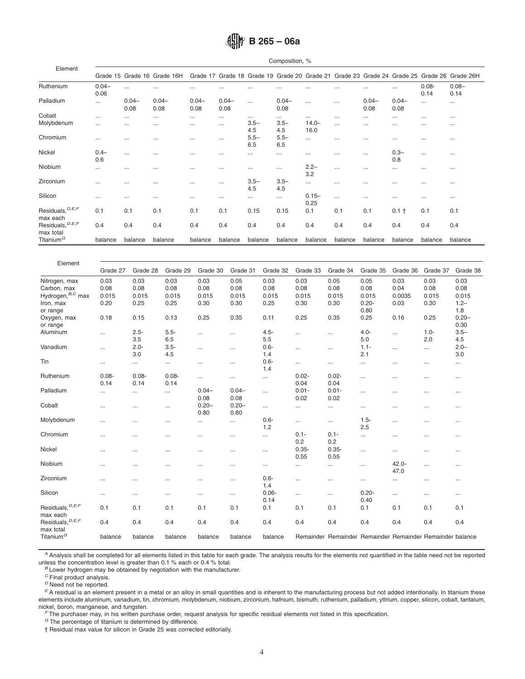|                                            |                  |                  |                    |                  |                  |                | Composition, %   |                  |          |                  |                  |                  |                                                                                   |
|--------------------------------------------|------------------|------------------|--------------------|------------------|------------------|----------------|------------------|------------------|----------|------------------|------------------|------------------|-----------------------------------------------------------------------------------|
| Element                                    | Grade 15         |                  | Grade 16 Grade 16H | Grade 17         |                  |                |                  |                  |          |                  |                  |                  | Grade 18 Grade 19 Grade 20 Grade 21 Grade 23 Grade 24 Grade 25 Grade 26 Grade 26H |
| Ruthenium                                  | $0.04 -$<br>0.06 |                  | $\cdots$           | $\cdots$         | $\cdots$         | $\cdots$       | $\cdots$         | $\cdots$         |          |                  |                  | $0.08 -$<br>0.14 | $0.08 -$<br>0.14                                                                  |
| Palladium                                  | $\cdots$         | $0.04 -$<br>0.08 | $0.04 -$<br>0.08   | $0.04 -$<br>0.08 | $0.04 -$<br>0.08 | $\cdots$       | $0.04 -$<br>0.08 | $\cdots$         | $\cdots$ | $0.04 -$<br>0.08 | $0.04 -$<br>0.08 | $\cdots$         | $\cdots$                                                                          |
| Cobalt                                     | $\cdots$         | $\cdots$         | $\cdots$           | $\cdots$         | $\cdots$         |                | $\cdots$         | $\cdots$         | $\cdots$ | $\cdots$         | $\ddots$         | $\cdots$         | $\cdots$                                                                          |
| Molybdenum                                 | $\cdots$         | $\cdots$         | $\cdots$           | $\cdots$         | $\cdots$         | $3.5 -$<br>4.5 | $3.5 -$<br>4.5   | $14.0 -$<br>16.0 |          | $\cdots$         | $\cdots$         | $\cdots$         | $\cdots$                                                                          |
| Chromium                                   | $\cdots$         | $\cdots$         | $\cdots$           | $\cdots$         | $\cdots$         | $5.5 -$<br>6.5 | $5.5-$<br>6.5    | $\cdots$         |          | $\cdots$         | $\cdots$         | $\cdots$         | $\cdots$                                                                          |
| Nickel                                     | $0.4 -$<br>0.6   | $\cdots$         | $\cdots$           | $\cdots$         | $\cdots$         | $\cdots$       | $\cdots$         | $\cdots$         | $\cdots$ | $\cdots$         | $0.3 -$<br>0.8   | $\cdots$         | $\cdots$                                                                          |
| Niobium                                    | $\cdots$         | $\cdots$         | $\cdots$           | $\cdots$         | $\cdots$         | $\cdots$       | $\cdots$         | $2.2 -$<br>3.2   | $\cdots$ | $\cdots$         | $\cdots$         | $\cdots$         | $\cdots$                                                                          |
| Zirconium                                  | $\cdots$         | $\cdots$         | $\cdots$           | $\cdots$         | $\cdots$         | $3.5 -$<br>4.5 | $3.5 -$<br>4.5   | $\cdots$         |          | $\cdots$         | $\ddots$         | $\cdots$         | $\cdots$                                                                          |
| Silicon                                    | $\cdots$         | $\cdots$         | $\cdots$           | $\cdots$         | $\cdots$         | $\cdots$       | $\cdots$         | $0.15 -$<br>0.25 | $\cdots$ | $\cdots$         | $\cdots$         | $\cdots$         | $\cdots$                                                                          |
| Residuals, <sup>D, E, F</sup><br>max each  | 0.1              | 0.1              | 0.1                | 0.1              | 0.1              | 0.15           | 0.15             | 0.1              | 0.1      | 0.1              | $0.1 +$          | 0.1              | 0.1                                                                               |
| Residuals, <sup>D, E, F</sup><br>max total | 0.4              | 0.4              | 0.4                | 0.4              | 0.4              | 0.4            | 0.4              | 0.4              | 0.4      | 0.4              | 0.4              | 0.4              | 0.4                                                                               |
| Titanium <sup>G</sup>                      | balance          | balance          | balance            | balance          | balance          | balance        | balance          | balance          | balance  | balance          | balance          | balance          | balance                                                                           |

| Element                       |          |          |          |          |          |          |          |                                                           |          |          |          |          |
|-------------------------------|----------|----------|----------|----------|----------|----------|----------|-----------------------------------------------------------|----------|----------|----------|----------|
|                               | Grade 27 | Grade 28 | Grade 29 | Grade 30 | Grade 31 | Grade 32 | Grade 33 | Grade 34                                                  | Grade 35 | Grade 36 | Grade 37 | Grade 38 |
| Nitrogen, max                 | 0.03     | 0.03     | 0.03     | 0.03     | 0.05     | 0.03     | 0.03     | 0.05                                                      | 0.05     | 0.03     | 0.03     | 0.03     |
| Carbon, max                   | 0.08     | 0.08     | 0.08     | 0.08     | 0.08     | 0.08     | 0.08     | 0.08                                                      | 0.08     | 0.04     | 0.08     | 0.08     |
| Hydrogen, <sup>B,C</sup> max  | 0.015    | 0.015    | 0.015    | 0.015    | 0.015    | 0.015    | 0.015    | 0.015                                                     | 0.015    | 0.0035   | 0.015    | 0.015    |
| Iron, max                     | 0.20     | 0.25     | 0.25     | 0.30     | 0.30     | 0.25     | 0.30     | 0.30                                                      | $0.20 -$ | 0.03     | 0.30     | $1.2 -$  |
| or range                      |          |          |          |          |          |          |          |                                                           | 0.80     |          |          | 1.8      |
| Oxygen, max                   | 0.18     | 0.15     | 0.13     | 0.25     | 0.35     | 0.11     | 0.25     | 0.35                                                      | 0.25     | 0.16     | 0.25     | $0.20 -$ |
| or range                      |          |          |          |          |          |          |          |                                                           |          |          |          | 0.30     |
| Aluminum                      |          | $2.5 -$  | $5.5 -$  |          |          | $4.5 -$  |          |                                                           | $4.0 -$  |          | $1.0 -$  | $3.5 -$  |
|                               | $\cdots$ | 3.5      | 6.5      |          | $\cdots$ | 5.5      | $\cdots$ |                                                           | 5.0      | $\cdots$ | 2.0      | 4.5      |
|                               |          |          |          |          |          |          |          |                                                           |          |          |          |          |
| Vanadium                      |          | $2.0 -$  | $3.5 -$  |          | $\ldots$ | $0.6 -$  | $\cdots$ | $\cdots$                                                  | $1.1 -$  | $\cdots$ | $\cdots$ | $2.0 -$  |
|                               |          | 3.0      | 4.5      |          |          | 1.4      |          |                                                           | 2.1      |          |          | 3.0      |
| Tin                           |          |          |          |          | $\cdots$ | $0.6 -$  | $\cdots$ | $\ldots$                                                  | $\cdots$ |          | $\cdots$ |          |
|                               |          |          |          |          |          | 1.4      |          |                                                           |          |          |          |          |
| Ruthenium                     | $0.08 -$ | $0.08 -$ | $0.08 -$ |          | $\cdots$ | $\cdots$ | $0.02 -$ | $0.02 -$                                                  | $\cdots$ |          | $\cdots$ | $\cdots$ |
|                               | 0.14     | 0.14     | 0.14     |          |          |          | 0.04     | 0.04                                                      |          |          |          |          |
| Palladium                     |          |          |          | $0.04 -$ | $0.04 -$ | $\cdots$ | $0.01 -$ | $0.01 -$                                                  | $\cdots$ |          | $\cdots$ | $\cdots$ |
|                               |          |          |          | 0.08     | 0.08     |          | 0.02     | 0.02                                                      |          |          |          |          |
| Cobalt                        | $\cdots$ |          | $\cdots$ | $0.20 -$ | $0.20 -$ | $\cdots$ | $\cdots$ |                                                           | $\cdots$ |          | $\cdots$ | $\cdots$ |
|                               |          |          |          | 0.80     | 0.80     |          |          |                                                           |          |          |          |          |
| Molybdenum                    | $\cdots$ | $\cdots$ | $\cdots$ |          | $\cdots$ | $0.6 -$  | $\cdots$ | $\cdots$                                                  | $1.5 -$  | $\cdots$ | $\cdots$ | $\cdots$ |
|                               |          |          |          |          |          | 1.2      |          |                                                           | 2.5      |          |          |          |
| Chromium                      | $\cdots$ |          | $\cdots$ |          | $\cdots$ | $\cdots$ | $0.1 -$  | $0.1 -$                                                   | $\cdots$ |          | $\cdots$ | $\cdots$ |
|                               |          |          |          |          |          |          | 0.2      | 0.2                                                       |          |          |          |          |
| Nickel                        |          | $\cdots$ | $\cdots$ |          | $\cdots$ | $\cdots$ | $0.35 -$ | $0.35 -$                                                  | $\ldots$ |          | $\cdots$ | $\cdots$ |
|                               |          |          |          |          |          |          | 0.55     | 0.55                                                      |          |          |          |          |
| Niobium                       |          |          |          |          |          |          |          |                                                           |          | $42.0 -$ |          |          |
|                               |          | $\cdots$ | $\cdots$ |          | $\cdots$ | $\cdots$ | $\cdots$ | $\cdots$                                                  | $\cdots$ | 47.0     | $\cdots$ | $\cdots$ |
| Zirconium                     |          |          |          |          |          | $0.6 -$  |          |                                                           |          |          |          |          |
|                               |          | $\cdots$ |          |          | $\cdots$ | 1.4      | $\cdots$ | $\cdots$                                                  | $\cdots$ |          | $\cdots$ | $\cdots$ |
|                               |          |          |          |          |          |          |          |                                                           |          |          |          |          |
| Silicon                       | $\cdots$ | $\cdots$ | $\cdots$ | $\cdots$ | $\cdots$ | $0.06 -$ | $\cdots$ | $\cdots$                                                  | $0.20 -$ | $\cdots$ | $\cdots$ | $\cdots$ |
|                               |          |          |          |          |          | 0.14     |          |                                                           | 0.40     |          |          |          |
| Residuals, $D,E,F$            | 0.1      | 0.1      | 0.1      | 0.1      | 0.1      | 0.1      | 0.1      | 0.1                                                       | 0.1      | 0.1      | 0.1      | 0.1      |
| max each                      |          |          |          |          |          |          |          |                                                           |          |          |          |          |
| Residuals, <sup>D, E, F</sup> | 0.4      | 0.4      | 0.4      | 0.4      | 0.4      | 0.4      | 0.4      | 0.4                                                       | 0.4      | 0.4      | 0.4      | 0.4      |
| max total                     |          |          |          |          |          |          |          |                                                           |          |          |          |          |
| Titanium <sup>G</sup>         | balance  | balance  | balance  | balance  | balance  | balance  |          | Remainder Remainder Remainder Remainder Remainder balance |          |          |          |          |

*<sup>A</sup>* Analysis shall be completed for all elements listed in this table for each grade. The analysis results for the elements not quantified in the table need not be reported unless the concentration level is greater than 0.1 % each or 0.4 % total.

*<sup>B</sup>* Lower hydrogen may be obtained by negotiation with the manufacturer.

*<sup>C</sup>* Final product analysis.

*<sup>D</sup>* Need not be reported.

*<sup>E</sup>* A residual is an element present in a metal or an alloy in small quantities and is inherent to the manufacturing process but not added intentionally. In titanium these elements include aluminum, vanadium, tin, chromium, molybdenum, niobium, zirconium, hafnium, bismuth, ruthenium, palladium, yttrium, copper, silicon, cobalt, tantalum, nickel, boron, manganese, and tungsten.

*<sup>F</sup>* The purchaser may, in his written purchase order, request analysis for specific residual elements not listed in this specification.

*<sup>G</sup>* The percentage of titanium is determined by difference.

† Residual max value for silicon in Grade 25 was corrected editorially.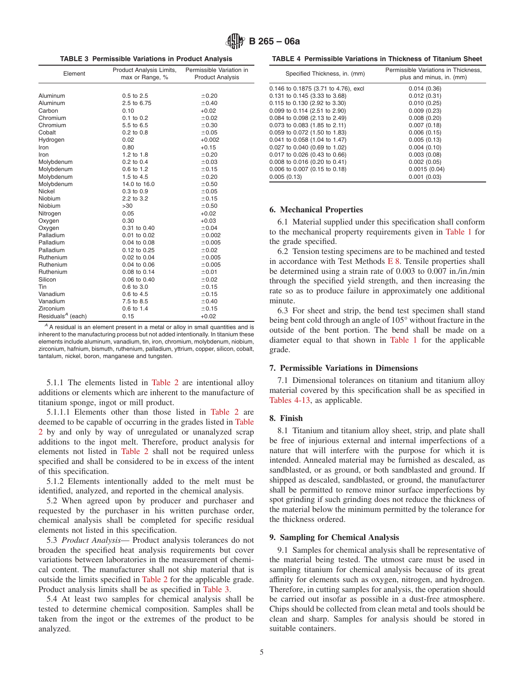**TABLE 3 Permissible Variations in Product Analysis**

| Element                                    | Product Analysis Limits,<br>max or Range, % | Permissible Variation in<br><b>Product Analysis</b> |
|--------------------------------------------|---------------------------------------------|-----------------------------------------------------|
|                                            |                                             |                                                     |
|                                            |                                             |                                                     |
| Aluminum                                   | 0.5 to 2.5                                  | ±0.20                                               |
| Aluminum                                   | 2.5 to 6.75                                 | ±0.40                                               |
| Carbon                                     | 0.10                                        | $+0.02$                                             |
| Chromium                                   | $0.1$ to $0.2$                              | ±0.02                                               |
| Chromium                                   | 5.5 to 6.5                                  | ±0.30                                               |
| Cobalt                                     | $0.2$ to $0.8$                              | ±0.05                                               |
| Hydrogen                                   | 0.02                                        | $+0.002$                                            |
| Iron                                       | 0.80                                        | $+0.15$                                             |
| Iron                                       | $1.2$ to $1.8$                              | ±0.20                                               |
| Molybdenum                                 | $0.2$ to $0.4$                              | ±0.03                                               |
| Molybdenum                                 | 0.6 to 1.2                                  | ±0.15                                               |
| Molybdenum                                 | 1.5 to 4.5                                  | ±0.20                                               |
| Molybdenum                                 | 14.0 to 16.0                                | ±0.50                                               |
| Nickel                                     | 0.3 to 0.9                                  | ±0.05                                               |
| Niobium                                    | 2.2 to 3.2                                  | ±0.15                                               |
| Niobium                                    | >30                                         | ±0.50                                               |
| Nitrogen                                   | 0.05                                        | $+0.02$                                             |
| Oxygen                                     | 0.30                                        | $+0.03$                                             |
| Oxygen                                     | 0.31 to 0.40                                | ±0.04                                               |
| Palladium                                  | 0.01 to 0.02                                | ±0.002                                              |
| Palladium                                  | $0.04$ to $0.08$                            | ±0.005                                              |
| Palladium                                  | 0.12 to 0.25                                | ±0.02                                               |
| Ruthenium                                  | 0.02 to 0.04                                | ±0.005                                              |
| Ruthenium                                  | 0.04 to 0.06                                | ±0.005                                              |
| Ruthenium                                  | 0.08 to 0.14                                | ±0.01                                               |
| Silicon                                    | $0.06$ to $0.40$                            | ±0.02                                               |
| Tin                                        | 0.6 to 3.0                                  | ±0.15                                               |
| Vanadium                                   | 0.6 to 4.5                                  | ±0.15                                               |
| Vanadium                                   | 7.5 to 8.5                                  | ±0.40                                               |
| Zirconium                                  | 0.6 to 1.4                                  | ±0.15                                               |
| Residuals <sup><math>A</math></sup> (each) | 0.15                                        | $+0.02$                                             |
|                                            |                                             |                                                     |

*<sup>A</sup>* A residual is an element present in a metal or alloy in small quantities and is inherent to the manufacturing process but not added intentionally. In titanium these elements include aluminum, vanadium, tin, iron, chromium, molybdenum, niobium, zirconium, hafnium, bismuth, ruthenium, palladium, yttrium, copper, silicon, cobalt, tantalum, nickel, boron, manganese and tungsten.

5.1.1 The elements listed in [Table 2](#page-2-1) are intentional alloy additions or elements which are inherent to the manufacture of titanium sponge, ingot or mill product.

5.1.1.1 Elements other than those listed in [Table 2](#page-2-1) are deemed to be capable of occurring in the grades listed in [Table](#page-2-1) [2](#page-2-1) by and only by way of unregulated or unanalyzed scrap additions to the ingot melt. Therefore, product analysis for elements not listed in [Table 2](#page-2-1) shall not be required unless specified and shall be considered to be in excess of the intent of this specification.

5.1.2 Elements intentionally added to the melt must be identified, analyzed, and reported in the chemical analysis.

5.2 When agreed upon by producer and purchaser and requested by the purchaser in his written purchase order, chemical analysis shall be completed for specific residual elements not listed in this specification.

5.3 *Product Analysis*— Product analysis tolerances do not broaden the specified heat analysis requirements but cover variations between laboratories in the measurement of chemical content. The manufacturer shall not ship material that is outside the limits specified in [Table 2](#page-2-1) for the applicable grade. Product analysis limits shall be as specified in [Table 3.](#page-4-1)

5.4 At least two samples for chemical analysis shall be tested to determine chemical composition. Samples shall be taken from the ingot or the extremes of the product to be analyzed.

<span id="page-4-2"></span><span id="page-4-1"></span>**TABLE 4 Permissible Variations in Thickness of Titanium Sheet**

| Specified Thickness, in. (mm)        | Permissible Variations in Thickness.<br>plus and minus, in. (mm) |
|--------------------------------------|------------------------------------------------------------------|
| 0.146 to 0.1875 (3.71 to 4.76), excl | 0.014(0.36)                                                      |
| 0.131 to 0.145 (3.33 to 3.68)        | 0.012(0.31)                                                      |
| 0.115 to 0.130 (2.92 to 3.30)        | 0.010(0.25)                                                      |
| $0.099$ to 0.114 (2.51 to 2.90)      | 0.009(0.23)                                                      |
| 0.084 to 0.098 (2.13 to 2.49)        | 0.008(0.20)                                                      |
| 0.073 to 0.083 (1.85 to 2.11)        | 0.007(0.18)                                                      |
| 0.059 to 0.072 (1.50 to 1.83)        | 0.006(0.15)                                                      |
| 0.041 to 0.058 (1.04 to 1.47)        | 0.005(0.13)                                                      |
| 0.027 to 0.040 (0.69 to 1.02)        | 0.004(0.10)                                                      |
| 0.017 to 0.026 (0.43 to 0.66)        | 0.003(0.08)                                                      |
| 0.008 to 0.016 (0.20 to 0.41)        | 0.002(0.05)                                                      |
| 0.006 to 0.007 (0.15 to 0.18)        | 0.0015(0.04)                                                     |
| 0.005(0.13)                          | 0.001(0.03)                                                      |

#### **6. Mechanical Properties**

6.1 Material supplied under this specification shall conform to the mechanical property requirements given in [Table 1](#page-1-0) for the grade specified.

<span id="page-4-0"></span>6.2 Tension testing specimens are to be machined and tested in accordance with Test Methods [E 8.](#page-1-1) Tensile properties shall be determined using a strain rate of 0.003 to 0.007 in./in./min through the specified yield strength, and then increasing the rate so as to produce failure in approximately one additional minute.

6.3 For sheet and strip, the bend test specimen shall stand being bent cold through an angle of 105° without fracture in the outside of the bent portion. The bend shall be made on a diameter equal to that shown in [Table 1](#page-1-0) for the applicable grade.

#### **7. Permissible Variations in Dimensions**

7.1 Dimensional tolerances on titanium and titanium alloy material covered by this specification shall be as specified in [Tables 4-13,](#page-4-2) as applicable.

#### **8. Finish**

8.1 Titanium and titanium alloy sheet, strip, and plate shall be free of injurious external and internal imperfections of a nature that will interfere with the purpose for which it is intended. Annealed material may be furnished as descaled, as sandblasted, or as ground, or both sandblasted and ground. If shipped as descaled, sandblasted, or ground, the manufacturer shall be permitted to remove minor surface imperfections by spot grinding if such grinding does not reduce the thickness of the material below the minimum permitted by the tolerance for the thickness ordered.

#### **9. Sampling for Chemical Analysis**

9.1 Samples for chemical analysis shall be representative of the material being tested. The utmost care must be used in sampling titanium for chemical analysis because of its great affinity for elements such as oxygen, nitrogen, and hydrogen. Therefore, in cutting samples for analysis, the operation should be carried out insofar as possible in a dust-free atmosphere. Chips should be collected from clean metal and tools should be clean and sharp. Samples for analysis should be stored in suitable containers.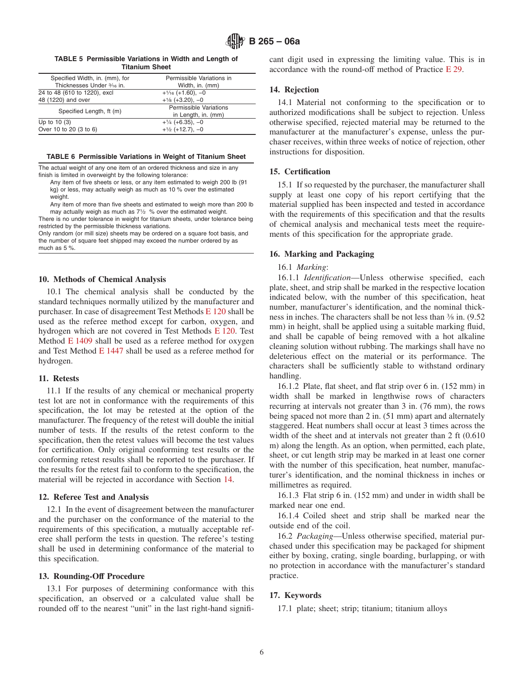| TABLE 5 Permissible Variations in Width and Length of |
|-------------------------------------------------------|
| <b>Titanium Sheet</b>                                 |

| Specified Width, in. (mm), for | Permissible Variations in |  |  |  |  |  |  |
|--------------------------------|---------------------------|--|--|--|--|--|--|
| Thicknesses Under 3/16 in.     | Width, in. (mm)           |  |  |  |  |  |  |
| 24 to 48 (610 to 1220), excl   | $+1/16$ (+1.60), -0       |  |  |  |  |  |  |
| 48 (1220) and over             | $+1/8$ (+3.20), -0        |  |  |  |  |  |  |
| Specified Length, ft (m)       | Permissible Variations    |  |  |  |  |  |  |
|                                | in Length, in. (mm)       |  |  |  |  |  |  |
| Up to $10(3)$                  | $+1/4$ (+6.35), -0        |  |  |  |  |  |  |
| Over 10 to 20 (3 to 6)         | $+1/2$ (+12.7), -0        |  |  |  |  |  |  |
|                                |                           |  |  |  |  |  |  |

#### **TABLE 6 Permissible Variations in Weight of Titanium Sheet**

The actual weight of any one item of an ordered thickness and size in any finish is limited in overweight by the following tolerance:

Any item of five sheets or less, or any item estimated to weigh 200 lb (91 kg) or less, may actually weigh as much as 10 % over the estimated weight.

Any item of more than five sheets and estimated to weigh more than 200 lb may actually weigh as much as  $7\frac{1}{2}$  % over the estimated weight.

There is no under tolerance in weight for titanium sheets, under tolerance being restricted by the permissible thickness variations.

Only random (or mill size) sheets may be ordered on a square foot basis, and the number of square feet shipped may exceed the number ordered by as much as 5 %.

## **10. Methods of Chemical Analysis**

10.1 The chemical analysis shall be conducted by the standard techniques normally utilized by the manufacturer and purchaser. In case of disagreement Test Methods [E 120](#page-5-4) shall be used as the referee method except for carbon, oxygen, and hydrogen which are not covered in Test Methods [E 120.](#page-2-2) Test Method [E 1409](#page-2-3) shall be used as a referee method for oxygen and Test Method [E 1447](#page-2-4) shall be used as a referee method for hydrogen.

#### **11. Retests**

11.1 If the results of any chemical or mechanical property test lot are not in conformance with the requirements of this specification, the lot may be retested at the option of the manufacturer. The frequency of the retest will double the initial number of tests. If the results of the retest conform to the specification, then the retest values will become the test values for certification. Only original conforming test results or the conforming retest results shall be reported to the purchaser. If the results for the retest fail to conform to the specification, the material will be rejected in accordance with Section 14.

# **12. Referee Test and Analysis**

12.1 In the event of disagreement between the manufacturer and the purchaser on the conformance of the material to the requirements of this specification, a mutually acceptable referee shall perform the tests in question. The referee's testing shall be used in determining conformance of the material to this specification.

#### **13. Rounding-Off Procedure**

13.1 For purposes of determining conformance with this specification, an observed or a calculated value shall be rounded off to the nearest "unit" in the last right-hand signifi<span id="page-5-0"></span>cant digit used in expressing the limiting value. This is in accordance with the round-off method of Practice [E 29.](#page-1-2)

#### **14. Rejection**

14.1 Material not conforming to the specification or to authorized modifications shall be subject to rejection. Unless otherwise specified, rejected material may be returned to the manufacturer at the manufacturer's expense, unless the purchaser receives, within three weeks of notice of rejection, other instructions for disposition.

## **15. Certification**

15.1 If so requested by the purchaser, the manufacturer shall supply at least one copy of his report certifying that the material supplied has been inspected and tested in accordance with the requirements of this specification and that the results of chemical analysis and mechanical tests meet the requirements of this specification for the appropriate grade.

#### **16. Marking and Packaging**

# <span id="page-5-4"></span><span id="page-5-2"></span><span id="page-5-1"></span>16.1 *Marking*:

16.1.1 *Identification*—Unless otherwise specified, each plate, sheet, and strip shall be marked in the respective location indicated below, with the number of this specification, heat number, manufacturer's identification, and the nominal thickness in inches. The characters shall be not less than 3⁄8 in. (9.52 mm) in height, shall be applied using a suitable marking fluid, and shall be capable of being removed with a hot alkaline cleaning solution without rubbing. The markings shall have no deleterious effect on the material or its performance. The characters shall be sufficiently stable to withstand ordinary handling.

<span id="page-5-3"></span>16.1.2 Plate, flat sheet, and flat strip over 6 in. (152 mm) in width shall be marked in lengthwise rows of characters recurring at intervals not greater than 3 in. (76 mm), the rows being spaced not more than 2 in. (51 mm) apart and alternately staggered. Heat numbers shall occur at least 3 times across the width of the sheet and at intervals not greater than 2 ft (0.610 m) along the length. As an option, when permitted, each plate, sheet, or cut length strip may be marked in at least one corner with the number of this specification, heat number, manufacturer's identification, and the nominal thickness in inches or millimetres as required.

16.1.3 Flat strip 6 in. (152 mm) and under in width shall be marked near one end.

16.1.4 Coiled sheet and strip shall be marked near the outside end of the coil.

16.2 *Packaging*—Unless otherwise specified, material purchased under this specification may be packaged for shipment either by boxing, crating, single boarding, burlapping, or with no protection in accordance with the manufacturer's standard practice.

## **17. Keywords**

17.1 plate; sheet; strip; titanium; titanium alloys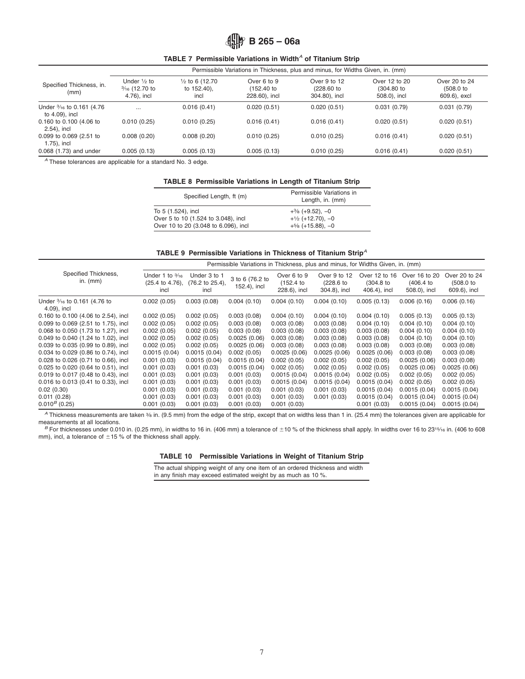**TABLE 7 Permissible Variations in Width***<sup>A</sup>* **of Titanium Strip**

|                                              | Permissible Variations in Thickness, plus and minus, for Widths Given, in. (mm) |                                                   |                                          |                                             |                                                |                                               |  |  |  |
|----------------------------------------------|---------------------------------------------------------------------------------|---------------------------------------------------|------------------------------------------|---------------------------------------------|------------------------------------------------|-----------------------------------------------|--|--|--|
| Specified Thickness, in.<br>(mm)             | Under $\frac{1}{2}$ to<br>$\frac{3}{16}$ (12.70 to<br>4.76), incl               | $\frac{1}{2}$ to 6 (12.70)<br>to 152.40),<br>incl | Over 6 to 9<br>(152.40)<br>228.60), incl | Over 9 to 12<br>(228.60 to<br>304.80), incl | Over 12 to 20<br>$(304.80)$ to<br>508.0), incl | Over 20 to 24<br>$(508.0)$ to<br>609.6), excl |  |  |  |
| Under 3/16 to 0.161 (4.76)<br>to 4.09), incl | $\cdots$                                                                        | 0.016(0.41)                                       | 0.020(0.51)                              | 0.020(0.51)                                 | 0.031(0.79)                                    | 0.031(0.79)                                   |  |  |  |
| 0.160 to 0.100 (4.06 to<br>2.54), incl       | 0.010(0.25)                                                                     | 0.010(0.25)                                       | 0.016(0.41)                              | 0.016(0.41)                                 | 0.020(0.51)                                    | 0.020(0.51)                                   |  |  |  |
| 0.099 to 0.069 (2.51 to<br>1.75), incl       | 0.008(0.20)                                                                     | 0.008(0.20)                                       | 0.010(0.25)                              | 0.010(0.25)                                 | 0.016(0.41)                                    | 0.020(0.51)                                   |  |  |  |
| 0.068 (1.73) and under                       | 0.005(0.13)                                                                     | 0.005(0.13)                                       | 0.005(0.13)                              | 0.010(0.25)                                 | 0.016(0.41)                                    | 0.020(0.51)                                   |  |  |  |

*<sup>A</sup>* These tolerances are applicable for a standard No. 3 edge.

#### **TABLE 8 Permissible Variations in Length of Titanium Strip**

| Specified Length, ft (m)             | Permissible Variations in<br>Length, in. (mm) |  |  |  |  |
|--------------------------------------|-----------------------------------------------|--|--|--|--|
| To 5 (1.524), incl                   | $+3/8$ (+9.52), -0                            |  |  |  |  |
| Over 5 to 10 (1.524 to 3.048), incl  | $+1/2$ (+12.70), -0                           |  |  |  |  |
| Over 10 to 20 (3.048 to 6.096), incl | $+5/8$ (+15.88), -0                           |  |  |  |  |

#### **TABLE 9 Permissible Variations in Thickness of Titanium Strip***<sup>A</sup>*

|                                             |                                                      | Permissible Variations in Thickness, plus and minus, for Widths Given, in. (mm) |                                 |                                        |                                           |                                          |                                          |                                            |  |
|---------------------------------------------|------------------------------------------------------|---------------------------------------------------------------------------------|---------------------------------|----------------------------------------|-------------------------------------------|------------------------------------------|------------------------------------------|--------------------------------------------|--|
| Specified Thickness,<br>in. $(mm)$          | Under 1 to $\frac{3}{16}$<br>(25.4 to 4.76),<br>incl | Under 3 to 1<br>(76.2 to 25.4),<br>incl                                         | 3 to 6 (76.2 to<br>152.4), incl | Over 6 to 9<br>(152.4)<br>228.6), incl | Over 9 to 12<br>(228.6 to<br>304.8), incl | Over 12 to 16<br>(304.8)<br>406.4), incl | Over 16 to 20<br>(406.4)<br>508.0), incl | Over 20 to 24<br>(508.0 to<br>609.6), incl |  |
| Under 3/16 to 0.161 (4.76 to<br>4.09), incl | 0.002(0.05)                                          | 0.003(0.08)                                                                     | 0.004(0.10)                     | 0.004(0.10)                            | 0.004(0.10)                               | 0.005(0.13)                              | 0.006(0.16)                              | 0.006(0.16)                                |  |
| $0.160$ to $0.100$ (4.06 to 2.54), incl     | 0.002(0.05)                                          | 0.002(0.05)                                                                     | 0.003(0.08)                     | 0.004(0.10)                            | 0.004(0.10)                               | 0.004(0.10)                              | 0.005(0.13)                              | 0.005(0.13)                                |  |
| 0.099 to 0.069 (2.51 to 1.75), incl         | 0.002(0.05)                                          | 0.002(0.05)                                                                     | 0.003(0.08)                     | 0.003(0.08)                            | 0.003(0.08)                               | 0.004(0.10)                              | 0.004(0.10)                              | 0.004(0.10)                                |  |
| 0.068 to 0.050 (1.73 to 1.27), incl         | 0.002(0.05)                                          | 0.002(0.05)                                                                     | 0.003(0.08)                     | 0.003(0.08)                            | 0.003(0.08)                               | 0.003(0.08)                              | 0.004(0.10)                              | 0.004(0.10)                                |  |
| 0.049 to 0.040 (1.24 to 1.02), incl         | 0.002(0.05)                                          | 0.002(0.05)                                                                     | 0.0025(0.06)                    | 0.003(0.08)                            | 0.003(0.08)                               | 0.003(0.08)                              | 0.004(0.10)                              | 0.004(0.10)                                |  |
| 0.039 to 0.035 (0.99 to 0.89), incl         | 0.002(0.05)                                          | 0.002(0.05)                                                                     | 0.0025(0.06)                    | 0.003(0.08)                            | 0.003(0.08)                               | 0.003(0.08)                              | 0.003(0.08)                              | 0.003(0.08)                                |  |
| 0.034 to 0.029 (0.86 to 0.74), incl         | 0.0015(0.04)                                         | 0.0015(0.04)                                                                    | 0.002(0.05)                     | 0.0025(0.06)                           | 0.0025(0.06)                              | 0.0025(0.06)                             | 0.003(0.08)                              | 0.003(0.08)                                |  |
| 0.028 to 0.026 (0.71 to 0.66), incl         | 0.001(0.03)                                          | 0.0015(0.04)                                                                    | 0.0015(0.04)                    | 0.002(0.05)                            | 0.002(0.05)                               | 0.002(0.05)                              | 0.0025(0.06)                             | 0.003(0.08)                                |  |
| 0.025 to 0.020 (0.64 to 0.51), incl         | 0.001(0.03)                                          | 0.001(0.03)                                                                     | 0.0015(0.04)                    | 0.002(0.05)                            | 0.002(0.05)                               | 0.002(0.05)                              | 0.0025(0.06)                             | 0.0025 (0.06)                              |  |
| 0.019 to 0.017 (0.48 to 0.43), incl         | 0.001(0.03)                                          | 0.001(0.03)                                                                     | 0.001(0.03)                     | 0.0015(0.04)                           | 0.0015(0.04)                              | 0.002(0.05)                              | 0.002(0.05)                              | 0.002(0.05)                                |  |
| 0.016 to 0.013 (0.41 to 0.33), incl         | 0.001(0.03)                                          | 0.001(0.03)                                                                     | 0.001(0.03)                     | 0.0015(0.04)                           | 0.0015(0.04)                              | 0.0015(0.04)                             | 0.002(0.05)                              | 0.002(0.05)                                |  |
| 0.02(0.30)                                  | 0.001(0.03)                                          | 0.001(0.03)                                                                     | 0.001(0.03)                     | 0.001(0.03)                            | 0.001(0.03)                               | 0.0015(0.04)                             | 0.0015(0.04)                             | 0.0015(0.04)                               |  |
| 0.011(0.28)                                 | 0.001(0.03)                                          | 0.001(0.03)                                                                     | 0.001(0.03)                     | 0.001(0.03)                            | 0.001(0.03)                               | 0.0015(0.04)                             | 0.0015(0.04)                             | 0.0015(0.04)                               |  |
| $0.010^{B}$ (0.25)                          | 0.001(0.03)                                          | 0.001(0.03)                                                                     | 0.001(0.03)                     | 0.001(0.03)                            |                                           | 0.001(0.03)                              | 0.0015(0.04)                             | 0.0015(0.04)                               |  |

*<sup>A</sup>* Thickness measurements are taken 3⁄8 in. (9.5 mm) from the edge of the strip, except that on widths less than 1 in. (25.4 mm) the tolerances given are applicable for measurements at all locations.<br><sup>B</sup> For thicknesses under 0.010 in. (0.25 mm), in widths to 16 in. (406 mm) a tolerance of ±10 % of the thickness shall apply. In widths over 16 to 23<sup>15</sup>/16 in. (406 to 608

mm), incl, a tolerance of  $\pm 15$  % of the thickness shall apply.

**TABLE 10 Permissible Variations in Weight of Titanium Strip**

The actual shipping weight of any one item of an ordered thickness and width in any finish may exceed estimated weight by as much as 10 %.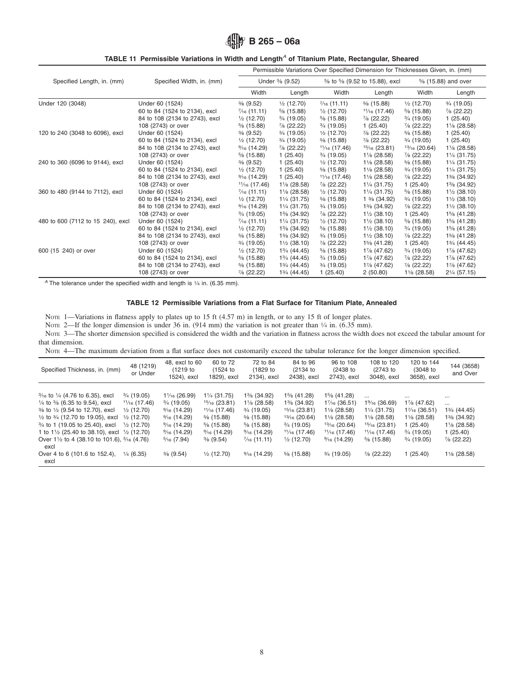# **TABLE 11 Permissible Variations in Width and Length***<sup>A</sup>* **of Titanium Plate, Rectangular, Sheared**

|                                   |                                | Permissible Variations Over Specified Dimension for Thicknesses Given, in. (mm) |                          |                              |                          |                       |                          |
|-----------------------------------|--------------------------------|---------------------------------------------------------------------------------|--------------------------|------------------------------|--------------------------|-----------------------|--------------------------|
| Specified Length, in. (mm)        | Specified Width, in. (mm)      | Under % (9.52)                                                                  |                          | % to % (9.52 to 15.88), excl |                          | 5/8 (15.88) and over  |                          |
|                                   |                                | Width                                                                           | Length                   | Width                        | Length                   | Width                 | Length                   |
| Under 120 (3048)                  | Under 60 (1524)                | $\frac{3}{6}$ (9.52)                                                            | $\frac{1}{2}$ (12.70)    | $\frac{7}{16}$ (11.11)       | $\frac{5}{6}$ (15.88)    | $\frac{1}{2}$ (12.70) | $\frac{3}{4}$ (19.05)    |
|                                   | 60 to 84 (1524 to 2134), excl  | $\frac{7}{16}$ (11.11)                                                          | $\frac{5}{6}$ (15.88)    | $\frac{1}{2}$ (12.70)        | $1\frac{1}{16}$ (17.46)  | $\frac{5}{6}$ (15.88) | $\frac{7}{6}$ (22.22)    |
|                                   | 84 to 108 (2134 to 2743), excl | $\frac{1}{2}$ (12.70)                                                           | $\frac{3}{4}$ (19.05)    | $\frac{5}{6}$ (15.88)        | $\frac{7}{8}$ (22.22)    | $\frac{3}{4}$ (19.05) | 1(25.40)                 |
|                                   | 108 (2743) or over             | $\frac{5}{6}$ (15.88)                                                           | $\frac{7}{8}$ (22.22)    | $\frac{3}{4}$ (19.05)        | 1(25.40)                 | $\frac{7}{8}$ (22.22) | 11/8 (28.58)             |
| 120 to 240 (3048 to 6096), excl   | Under 60 (1524)                | $\frac{3}{8}$ (9.52)                                                            | $\frac{3}{4}$ (19.05)    | $\frac{1}{2}$ (12.70)        | $\frac{7}{8}$ (22.22)    | $\frac{5}{6}$ (15.88) | 1(25.40)                 |
|                                   | 60 to 84 (1524 to 2134), excl  | $\frac{1}{2}$ (12.70)                                                           | $\frac{3}{4}$ (19.05)    | $\frac{5}{6}$ (15.88)        | $\frac{7}{8}$ (22.22)    | $\frac{3}{4}$ (19.05) | 1(25.40)                 |
|                                   | 84 to 108 (2134 to 2743), excl | $\frac{9}{16}$ (14.29)                                                          | $\frac{7}{8}$ (22.22)    | $1\frac{1}{16}$ (17.46)      | $15/16$ (23.81)          | $13/16$ (20.64)       | $1\frac{1}{8}$ (28.58)   |
|                                   | 108 (2743) or over             | $\frac{5}{6}$ (15.88)                                                           | 1(25.40)                 | $\frac{3}{4}$ (19.05)        | $1\frac{1}{8}$ (28.58)   | $\frac{7}{8}$ (22.22) | 11/ <sub>4</sub> (31.75) |
| 240 to 360 (6096 to 9144), excl   | Under 60 (1524)                | $\frac{3}{6}$ (9.52)                                                            | 1(25.40)                 | $\frac{1}{2}$ (12.70)        | $1\frac{1}{8}$ (28.58)   | $\frac{5}{6}$ (15.88) | 11/ <sub>4</sub> (31.75) |
|                                   | 60 to 84 (1524 to 2134), excl  | $\frac{1}{2}$ (12.70)                                                           | 1(25.40)                 | $\frac{5}{6}$ (15.88)        | $1\frac{1}{8}$ (28.58)   | $\frac{3}{4}$ (19.05) | 11/ <sub>4</sub> (31.75) |
|                                   | 84 to 108 (2134 to 2743), excl | $\frac{9}{16}$ (14.29)                                                          | 1(25.40)                 | $1\frac{1}{16}$ (17.46)      | $1\frac{1}{8}$ (28.58)   | $\frac{7}{8}$ (22.22) | 1% (34.92)               |
|                                   | 108 (2743) or over             | $1\frac{1}{16}$ (17.46)                                                         | $1\frac{1}{8}$ (28.58)   | $\frac{7}{8}$ (22.22)        | 11/ <sub>4</sub> (31.75) | 1(25.40)              | 1% (34.92)               |
| 360 to 480 (9144 to 7112), excl   | Under 60 (1524)                | $\frac{7}{16}$ (11.11)                                                          | $1\frac{1}{8}$ (28.58)   | $\frac{1}{2}$ (12.70)        | 11/ <sub>4</sub> (31.75) | $\frac{5}{6}$ (15.88) | $1\frac{1}{2}$ (38.10)   |
|                                   | 60 to 84 (1524 to 2134), excl  | $\frac{1}{2}$ (12.70)                                                           | 11/ <sub>4</sub> (31.75) | $\frac{5}{6}$ (15.88)        | $1\frac{3}{6}$ (34.92)   | $\frac{3}{4}$ (19.05) | $1\frac{1}{2}$ (38.10)   |
|                                   | 84 to 108 (2134 to 2743), excl | $\frac{9}{16}$ (14.29)                                                          | 11/4 (31.75)             | $\frac{3}{4}$ (19.05)        | 1% (34.92)               | $\frac{7}{8}$ (22.22) | $1\frac{1}{2}$ (38.10)   |
|                                   | 108 (2743) or over             | $\frac{3}{4}$ (19.05)                                                           | 1% (34.92)               | 7/8 (22.22)                  | $1\frac{1}{2}$ (38.10)   | 1(25.40)              | 1% (41.28)               |
| 480 to 600 (7112 to 15 240), excl | Under 60 (1524)                | $\frac{7}{16}$ (11.11)                                                          | 11/ <sub>4</sub> (31.75) | $\frac{1}{2}$ (12.70)        | $1\frac{1}{2}$ (38.10)   | $\frac{5}{6}$ (15.88) | 1% (41.28)               |
|                                   | 60 to 84 (1524 to 2134), excl  | $\frac{1}{2}$ (12.70)                                                           | 1% (34.92)               | $\frac{5}{6}$ (15.88)        | $1\frac{1}{2}$ (38.10)   | $\frac{3}{4}$ (19.05) | 1% (41.28)               |
|                                   | 84 to 108 (2134 to 2743), excl | $\frac{5}{6}$ (15.88)                                                           | 1% (34.92)               | $\frac{3}{4}$ (19.05)        | $1\frac{1}{2}$ (38.10)   | 7/8 (22.22)           | 1% (41.28)               |
|                                   | 108 (2743) or over             | $\frac{3}{4}$ (19.05)                                                           | $1\frac{1}{2}$ (38.10)   | 7/8 (22.22)                  | 1% (41.28)               | 1(25.40)              | 13/4 (44.45)             |
| 600 (15 240) or over              | Under 60 (1524)                | $\frac{1}{2}$ (12.70)                                                           | 13/4 (44.45)             | $\frac{5}{6}$ (15.88)        | 17/8 (47.62)             | $\frac{3}{4}$ (19.05) | 17/8 (47.62)             |
|                                   | 60 to 84 (1524 to 2134), excl  | $\frac{5}{6}$ (15.88)                                                           | 13/ <sub>4</sub> (44.45) | $\frac{3}{4}$ (19.05)        | 17/8 (47.62)             | 7/8 (22.22)           | 17/8 (47.62)             |
|                                   | 84 to 108 (2134 to 2743), excl | $\frac{5}{6}$ (15.88)                                                           | 13/ <sub>4</sub> (44.45) | $\frac{3}{4}$ (19.05)        | 17/ <sub>8</sub> (47.62) | $\frac{7}{6}$ (22.22) | 17/ <sub>8</sub> (47.62) |
|                                   | 108 (2743) or over             | 7/8 (22.22)                                                                     | 13/ <sub>4</sub> (44.45) | 1(25.40)                     | 2(50.80)                 | 11/8 (28.58)          | 21/ <sub>4</sub> (57.15) |

*A* The tolerance under the specified width and length is  $\frac{1}{4}$  in. (6.35 mm).

#### <span id="page-7-0"></span>**TABLE 12 Permissible Variations from a Flat Surface for Titanium Plate, Annealed**

Note 1—Variations in flatness apply to plates up to 15 ft (4.57 m) in length, or to any 15 ft of longer plates.

NOTE 2—If the longer dimension is under 36 in. (914 mm) the variation is not greater than  $\frac{1}{4}$  in. (6.35 mm).

NOTE 3—The shorter dimension specified is considered the width and the variation in flatness across the width does not exceed the tabular amount for that dimension.

NOTE 4—The maximum deviation from a flat surface does not customarily exceed the tabular tolerance for the longer dimension specified.

| Specified Thickness, in. (mm)                                                                                                                                                                                                                                                                                                                                                                                              | 48 (1219)<br>or Under                                                                                                                               | 48, excl to 60<br>(1219 to<br>1524), excl                                                                                                                                                       | 60 to 72<br>(1524 to<br>1829), excl                                                                                                                                                                 | 72 to 84<br>(1829 to<br>2134), excl                                                                                                                                                           | 84 to 96<br>$(2134)$ to<br>2438), excl                                                                                                                               | 96 to 108<br>(2438 to<br>2743), excl                                                                                                                                             | 108 to 120<br>(2743 to<br>3048), excl                                                                                                                                 | 120 to 144<br>(3048 to<br>3658), excl                                                                                                                     | 144 (3658)<br>and Over                                                                                                                        |
|----------------------------------------------------------------------------------------------------------------------------------------------------------------------------------------------------------------------------------------------------------------------------------------------------------------------------------------------------------------------------------------------------------------------------|-----------------------------------------------------------------------------------------------------------------------------------------------------|-------------------------------------------------------------------------------------------------------------------------------------------------------------------------------------------------|-----------------------------------------------------------------------------------------------------------------------------------------------------------------------------------------------------|-----------------------------------------------------------------------------------------------------------------------------------------------------------------------------------------------|----------------------------------------------------------------------------------------------------------------------------------------------------------------------|----------------------------------------------------------------------------------------------------------------------------------------------------------------------------------|-----------------------------------------------------------------------------------------------------------------------------------------------------------------------|-----------------------------------------------------------------------------------------------------------------------------------------------------------|-----------------------------------------------------------------------------------------------------------------------------------------------|
| $\frac{3}{16}$ to $\frac{1}{4}$ (4.76 to 6.35), excl<br>$\frac{1}{4}$ to $\frac{3}{8}$ (6.35 to 9.54), excl<br>% to 1/2 (9.54 to 12.70), excl<br>$\frac{1}{2}$ to $\frac{3}{4}$ (12.70 to 19.05), excl<br>3/ <sub>4</sub> to 1 (19.05 to 25.40), excl<br>1 to $1\frac{1}{2}$ (25.40 to 38.10), excl $\frac{1}{2}$ (12.70)<br>Over 11/2 to 4 (38.10 to 101.6), 3/16 (4.76)<br>excl<br>Over 4 to 6 (101.6 to 152.4),<br>excl | $\frac{3}{4}$ (19.05)<br>$1\frac{1}{16}$ (17.46)<br>$\frac{1}{2}$ (12.70)<br>$\frac{1}{2}$ (12.70)<br>$\frac{1}{2}$ (12.70)<br>$\frac{1}{4}$ (6.35) | 11/16 (26.99)<br>$\frac{3}{4}$ (19.05)<br>$\frac{9}{16}$ (14.29)<br>$\frac{9}{16}$ (14.29)<br>$\frac{9}{16}$ (14.29)<br>$\frac{9}{16}$ (14.29)<br>$\frac{5}{16}$ (7.94)<br>$\frac{3}{8}$ (9.54) | 11/ <sub>4</sub> (31.75)<br>$15/16$ (23.81)<br>$1\frac{1}{16}$ (17.46)<br>$\frac{5}{8}$ (15.88)<br>$\frac{5}{6}$ (15.88)<br>$\frac{9}{16}$ (14.29)<br>$\frac{3}{8}$ (9.54)<br>$\frac{1}{2}$ (12.70) | 1% (34.92)<br>$1\frac{1}{8}$ (28.58)<br>$\frac{3}{4}$ (19.05)<br>$\frac{5}{6}$ (15.88)<br>$\frac{5}{6}$ (15.88)<br>$\frac{9}{16}$ (14.29)<br>$\frac{7}{16}$ (11.11)<br>$\frac{9}{16}$ (14.29) | 1% (41.28)<br>1% (34.92)<br>$15/16$ (23.81)<br>$13/16$ (20.64)<br>$\frac{3}{4}$ (19.05)<br>$1\frac{1}{16}$ (17.46)<br>$\frac{1}{2}$ (12.70)<br>$\frac{5}{6}$ (15.88) | 1% (41.28)<br>$1\%6(36.51)$<br>$1\frac{1}{8}$ (28.58)<br>$1\frac{1}{8}$ (28.58)<br>$13/16$ (20.64)<br>$1\frac{1}{16}$ (17.46)<br>$\frac{9}{16}$ (14.29)<br>$\frac{3}{4}$ (19.05) | $\cdots$<br>$1\%6(36.69)$<br>11/ <sub>4</sub> (31.75)<br>$1\frac{1}{8}$ (28.58)<br>$15/16$ (23.81)<br>$1\frac{1}{16}$ (17.46)<br>$\frac{5}{6}$ (15.88)<br>7/8 (22.22) | $\cdots$<br>17/ <sub>8</sub> (47.62)<br>$1\%6(36.51)$<br>$1\frac{1}{8}$ (28.58)<br>(25.40)<br>$\frac{3}{4}$ (19.05)<br>$\frac{3}{4}$ (19.05)<br>1 (25.40) | $\cdots$<br>$\cdots$<br>13/ <sub>4</sub> (44.45)<br>1% (34.92)<br>$1\frac{1}{8}$ (28.58)<br>1(25.40)<br>7/8 (22.22)<br>$1\frac{1}{8}$ (28.58) |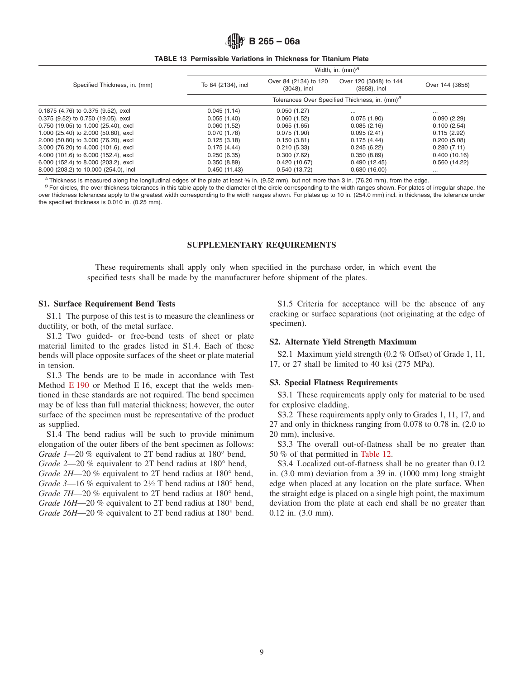#### **TABLE 13 Permissible Variations in Thickness for Titanium Plate**

|                                       | Width, in. $(mm)^A$ |                                                            |                                         |                 |  |  |  |  |  |  |
|---------------------------------------|---------------------|------------------------------------------------------------|-----------------------------------------|-----------------|--|--|--|--|--|--|
| Specified Thickness, in. (mm)         | To 84 (2134), incl  | Over 84 (2134) to 120<br>$(3048)$ , incl                   | Over 120 (3048) to 144<br>(3658), incl. | Over 144 (3658) |  |  |  |  |  |  |
|                                       |                     | Tolerances Over Specified Thickness, in. (mm) <sup>B</sup> |                                         |                 |  |  |  |  |  |  |
| 0.1875 (4.76) to 0.375 (9.52), excl   | 0.045(1.14)         | 0.050(1.27)                                                | $\cdots$                                | $\cdots$        |  |  |  |  |  |  |
| 0.375 (9.52) to 0.750 (19.05), excl   | 0.055(1.40)         | 0.060(1.52)                                                | 0.075(1.90)                             | 0.090(2.29)     |  |  |  |  |  |  |
| 0.750 (19.05) to 1.000 (25.40), excl  | 0.060(1.52)         | 0.065(1.65)                                                | 0.085(2.16)                             | 0.100(2.54)     |  |  |  |  |  |  |
| 1.000 (25.40) to 2.000 (50.80), excl  | 0.070(1.78)         | 0.075(1.90)                                                | 0.095(2.41)                             | 0.115(2.92)     |  |  |  |  |  |  |
| 2.000 (50.80) to 3.000 (76.20), excl  | 0.125(3.18)         | 0.150(3.81)                                                | 0.175(4.44)                             | 0.200(5.08)     |  |  |  |  |  |  |
| 3.000 (76.20) to 4.000 (101.6), excl  | 0.175(4.44)         | 0.210(5.33)                                                | 0.245(6.22)                             | 0.280(7.11)     |  |  |  |  |  |  |
| 4.000 (101.6) to 6.000 (152.4), excl  | 0.250(6.35)         | 0.300(7.62)                                                | 0.350(8.89)                             | 0.400(10.16)    |  |  |  |  |  |  |
| 6.000 (152.4) to 8.000 (203.2), excl  | 0.350(8.89)         | 0.420(10.67)                                               | 0.490(12.45)                            | 0.560(14.22)    |  |  |  |  |  |  |
| 8.000 (203.2) to 10.000 (254.0), incl | 0.450(11.43)        | 0.540(13.72)                                               | 0.630(16.00)                            | $\cdots$        |  |  |  |  |  |  |

 $^A$  Thickness is measured along the longitudinal edges of the plate at least  $\frac{3}{6}$  in. (9.52 mm), but not more than 3 in. (76.20 mm), from the edge.<br><sup>B</sup> For circles, the over thickness tolerances in this table apply over thickness tolerances apply to the greatest width corresponding to the width ranges shown. For plates up to 10 in. (254.0 mm) incl. in thickness, the tolerance under the specified thickness is 0.010 in. (0.25 mm).

## **SUPPLEMENTARY REQUIREMENTS**

These requirements shall apply only when specified in the purchase order, in which event the specified tests shall be made by the manufacturer before shipment of the plates.

#### **S1. Surface Requirement Bend Tests**

S1.1 The purpose of this test is to measure the cleanliness or ductility, or both, of the metal surface.

S1.2 Two guided- or free-bend tests of sheet or plate material limited to the grades listed in S1.4. Each of these bends will place opposite surfaces of the sheet or plate material in tension.

S1.3 The bends are to be made in accordance with Test Method [E 190](#page-2-5) or Method E 16, except that the welds mentioned in these standards are not required. The bend specimen may be of less than full material thickness; however, the outer surface of the specimen must be representative of the product as supplied.

S1.4 The bend radius will be such to provide minimum elongation of the outer fibers of the bent specimen as follows: *Grade 1—20 %* equivalent to 2T bend radius at 180° bend,

*Grade 2*—20 % equivalent to 2T bend radius at 180° bend,

*Grade 2H*—20 % equivalent to 2T bend radius at 180° bend, *Grade 3*—16 % equivalent to 2<sup>1</sup>/<sub>2</sub> T bend radius at 180° bend, *Grade 7H*—20 % equivalent to 2T bend radius at 180° bend, *Grade 16H*—20 % equivalent to 2T bend radius at 180° bend, *Grade 26H*—20 % equivalent to 2T bend radius at 180° bend.

S1.5 Criteria for acceptance will be the absence of any cracking or surface separations (not originating at the edge of specimen).

## **S2. Alternate Yield Strength Maximum**

<span id="page-8-0"></span>S2.1 Maximum yield strength (0.2 % Offset) of Grade 1, 11, 17, or 27 shall be limited to 40 ksi (275 MPa).

## **S3. Special Flatness Requirements**

S3.1 These requirements apply only for material to be used for explosive cladding.

S3.2 These requirements apply only to Grades 1, 11, 17, and 27 and only in thickness ranging from 0.078 to 0.78 in. (2.0 to 20 mm), inclusive.

S3.3 The overall out-of-flatness shall be no greater than 50 % of that permitted in [Table 12.](#page-7-0)

S3.4 Localized out-of-flatness shall be no greater than 0.12 in. (3.0 mm) deviation from a 39 in. (1000 mm) long straight edge when placed at any location on the plate surface. When the straight edge is placed on a single high point, the maximum deviation from the plate at each end shall be no greater than 0.12 in. (3.0 mm).